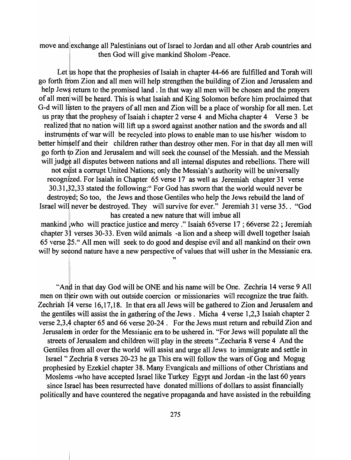move and exchange all Palestinians out of Israel to Jordan and all other Arab countries and then God will give mankind Sholom -Peace.

Let us hope that the prophesies of Isaiah in chapter 44-66 are fulfilled and Torah will go forth from Zion and all men will help strengthen the building of Zion and Jerusalem and help Jews return to the promised land. In that way all men will be chosen and the prayers of all men will be heard. This is what Isaiah and King Solomon before him proclaimed that G-d will listen to the prayers of all men and Zion will be a place of worship for all men. Let us pray that the prophesy of Isaiah i chapter 2 verse 4 and Micha chapter 4 Verse 3 be realized that no nation will lift up a sword against another nation and the swords and all instruments of war will be recycled into plows to enable man to use his/her wisdom to better himself and their children rather than destroy other men. For in that day all men will go forth to Zion and Jerusalem and will seek the counsel of the Messiah. and the Messiah will judge all disputes between nations and all internal disputes and rebellions. There will not exist a corrupt United Nations; only the Messiah's authority will be universally recognized. For Isaiah in Chapter 65 verse 17 as well as Jeremiah chapter 31 verse 30.31,32,33 stated the following:" For God has sworn that the world would never be destroyed; So too, the Jews and those Gentiles who help the Jews rebuild the land of Israel will'never be destroyed. They will survive for ever." Jeremiah 31 verse 35 .. "God has created a new nature that will imbue all

mankind who will practice justice and mercy." Isaiah 65verse 17 ; 66verse 22 ; Jeremiah chapter 3<sup>1</sup> verses 30-33. Even wild animals -a lion and a sheep will dwell together Isaiah 65 verse 25." All men will seek to do good and despise evil and all mankind on their own will by second nature have a new perspective of values that will usher in the Messianic era.

"

"And in that day God will be ONE and his name will be One. Zechria 14 verse 9 All men on their own with out outside coercion or missionaries will recognize the true faith. Zechriah  $\parallel$ 4 verse 16,17,18. In that era all Jews will be gathered to Zion and Jerusalem and the gentiles will assist the in gathering of the Jews. Micha 4 verse 1,2,3 Isaiah chapter 2 verse 2,3,4 chapter 65 and 66 verse 20-24. For the Jews must return and rebuild Zion and Jerusalem in order for the Messianic era to be ushered in. "For Jews will populate all the streets of Jerusalem and children will play in the streets ".Zecharia 8 verse 4 And the Gentiles from all over the world will assist and urge all Jews to immigrate and settle in Israel" Zechria 8 verses 20-23 he ga This era will follow the wars of Gog and Mogug prophesied by Ezekiel chapter 38. Many Evangicals and millions of other Christians and Moslems -who have accepted Israel like Turkey Egypt and Jordan -in the last 60 years since Israel has been resurrected have donated millions of dollars to assist financially politically and have countered the negative propaganda and have assisted in the rebuilding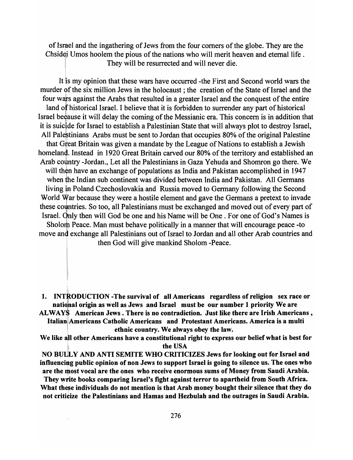of Israel and the ingathering of Jews from the four corners of the globe. They are the Chsidei Umos hoolem the pious of the nations who will merit heaven and eternal life. They will be resurrected and will never die.

It is my opinion that these wars have occurred -the First and Second world wars the murder of the six million Jews in the holocaust; the creation of the State of Israel and the four wars against the Arabs that resulted in a greater Israel and the conquest of the entire land of historical Israel. I believe that it is forbidden to surrender any part of historical Israel because it will delay the coming of the Messianic era. This concern is in addition that it is suicide for Israel to establish a Palestinian State that will always plot to destroy Israel, All Pale is a tinians Arabs must be sent to Jordan that occupies 80% of the original Palestine that Great Britain was given a mandate by the League of Nations to establish a Jewish homeland. Instead in 1920 Great Britain carved our 80% of the territory and established an Arab country -Jordan., Let all the Palestinians in Gaza Yehuda and Shomron go there. We will then have an exchange of populations as India and Pakistan accomplished in 1947 when the Indian sub continent was divided between India and Pakistan. All Germans living in Poland Czechoslovakia and Russia moved to Germany following the Second World War because they were a hostile element and gave the Germans a pretext to invade these countries. So too, all Palestinians must be exchanged and moved out of every part of Israel. Only then will God be one and his Name will be One. For one of God's Names is Sholom Peace. Man must behave politically in a manner that will encourage peace -to move and exchange all Palestinians out of Israel to Jordan and all other Arab countries and

then God will give mankind Sholom -Peace.

1. INTRODUCTION -The survival of all Americans regardless of religion sex race or national origin as well as Jews and Israel must be our number 1 priority We are ALWAYS American Jews. There is no contradiction. Just like there are Irish Americans,

Italian !Americans Catholic Americans and Protestant Americans. America is a multi , ethnic country. We always obey the law.

We like all other Americans have a constitutional right to express our belief what is best for the USA

NO BULLY AND ANTI SEMITE WHO CRITICIZES Jews for looking out for Israel and influencing public opinion of non Jews to support Israel is going to silence us. The ones who are the most vocal are the ones who receive enormous sums of Money from Saudi Arabia.

They write books comparing Israel's fight against terror to apartheid from South Africa. What these individuals do not mention is that Arab money bought their silence that they do not criticize the Palestinians and Hamas and Hezbulah and the outrages in Saudi Arabia.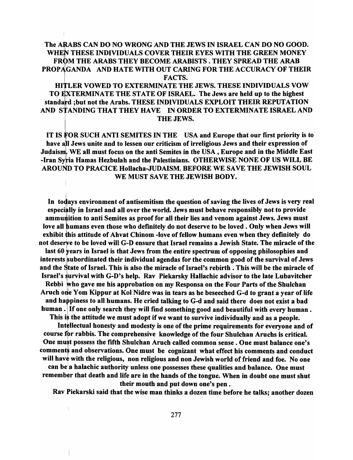## The ARABS CAN DO NO WRONG AND THE JEWS IN ISRAEL CAN DO NO GOOD. WHEN THESE INDIVIDUALS COVER THEIR EYES WITH THE GREEN MONEY FROM THE ARABS THEY BECOME ARABISTS . THEY SPREAD THE ARAB PROPAGANDA AND HATE WITH OUT CARING FOR THE ACCURACY OF THEIR \: FACTS.

HJLER VOWED TO EXTERMINATE THE JEWS. THESE INDIVIDUALS VOW TO EXTERMINATE THE STATE OF ISRAEL. The Jews are held up to the highest standard ;but not the Arabs. THESE INDIVIDUALS EXPLOIT THEIR REPUTATION AND STANDING THAT THEY HAVE IN ORDER TO EXTERMINATE ISRAEL AND THE JEWS.

IT IS FOR SUCH ANTI SEMITES IN THE USA and Europe that our first priority is to have all Jews unite and to lessen our criticism of irreligious Jews and their expression of Judaism. WE all must focus on the anti Semites in the USA, Europe and in the Middle East -Iran Syria Hamas Hezbulah and the Palestinians. OTHERWISE NONE OF US WILL BE AROUND TO PRACICE Hollacha-JUDAISM. BEFORE WE SAVE THE JEWISH SOUL WE MUST SAVE THE JEWISH BODY.

In todays environment of antisemitism the question of saving the lives of Jews is very real especially in Israel and all over the world. Jews must behave responsibly not to provide ammunition to anti Semites as proof for all their lies and venom against Jews. Jews must love all humans even those who definitely do not deserve to be loved. Only when Jews will exhibit his attitude of Ahvat Chinom -love of fellow humans even when they definitely do not deserve to be loved will G-D ensure that Israel remains a Jewish State. The miracle of the last 60 years in Israel is that Jews from the entire spectrum of opposing philosophies and interests subordinated their individual agendas for the common good of the survival of Jews and the State of Israel. This is also the miracle of Israel's rebirth. This will be the miracle of Israel's survival with G-D's help. Rav Piekarsky Hallachic advisor to the late Lubavitcher Rebbi who gave me his approbation on my Responsa on the Four Parts of the Shulchan Aruch one Yom Kippur at Kol Nidre was in tears as he beseeched G-d to grant a year of life and happiness to all humans. He cried talking to G-d and said there does not exist a bad human. If one only search they will find something good and beautiful with every human. This is the attitude we must adopt if we want to survive individually and as a people. Intellectual honesty and modesty is one of the prime requirements for everyone and of

course for rabbis. The comprehensive knowledge of the four Shulchan Aruchs is critical. One must possess the fifth Shulchan Aruch called common sense. One must balance one's comments and observations. One must be cognizant what effect his comments and conduct will have with the religious, non religious and non Jewish world of friend and foe. No one can be a halachic authority unless one possesses these qualities and balance. One must remember that death and life are in the hands of the tongue. When in doubt one must shut

their mouth and put down one's pen.

Rav fiekarski said that the wise man thinks a dozen time before he talks; another dozen

 $\mathbf{I}$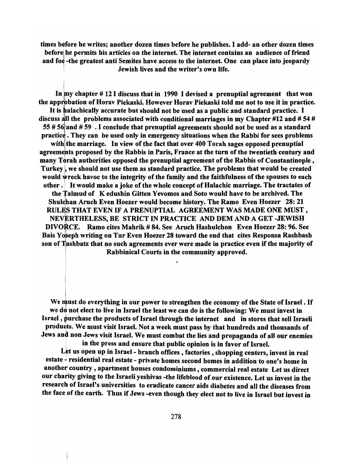times before he writes; another dozen times before he publishes. I add- an other dozen times before he permits his articles on the internet. The internet contains an audience of friend and foe-the greatest anti Semites have access to the internet. One can place into jeopardy )1 Jewish lives and the writer's own life.

In  $\text{my chapter } # 12$  I discuss that in 1990 I devised a prenuptial agreement that won the approbation of Horav Piekaski. However Horav Piekaski told me not to use it in practice. It is halachically accurate but should not be used as a public and standard practice. I discuss all the problems associated with conditional marriages in my Chapter #12 and #54 # 55 # 56 and # 59. I conclude that prenuptial agreements should not be used as a standard practice. They can be used only in emergency situations when the Rabbi for sees problems with the marriage. In view of the fact that over 400 Torah sages opposed prenuptial agreements proposed by the Rabbis in Paris, France at the turn of the twentieth century and many Torah authorities opposed the prenuptial agreement of the Rabbis of Constantinople, Turkey, we should not use them as standard practice. The problems that would be created would wreck havoc to the integrity of the family and the faithfulness of the spouses to each other  $\cdot$ . It would make a joke of the whole concept of Halachic marriage. The tractates of the Talmud of K edushin Gitten Yevomos and Soto would have to be archived. The Shulchan Aruch Even Hoezer would become history. The Ramo Even Hoezer 28: 21 RULES THAT EVEN IF A PRENUPTIAL AGREEMENT WAS MADE ONE MUST, NEVERTHELESS, BE STRICT IN PRACTICE AND DEM AND A GET-JEWISH DIVORCE. Ramo cites Mahrik # 84. See Aruch Hashulchon Even Hoezer 28: 96. See Bais Yoseph writing on Tur Even Hoezer 28 toward the end that cites Responsa Rashbash son of Tashbatz that no such agreements ever were made in practice even if the majority of Rabbinical Courts in the community approved.

We must do everything in our power to strengthen the economy of the State of Israel. If we do not elect to live in Israel the least we can do is the following: We must invest in Israel, purchase the products of Israel through the internet and in stores that sell Israeli products. We must visit Israel. Not a week must pass by that hundreds and thousands of Jews and non Jews visit Israel. We must combat the lies and propaganda of all our enemies in the press and ensure that public opinion is in favor of Israel.

Let us open up in Israel - branch offices, factories, shopping centers, invest in real estate - residential real estate - private homes second homes in addition to one's home in another country, apartment houses condominiums, commercial real estate Let us direct our charity giving to the Israeli yeshivas -the lifeblood of our existence. Let us invest in the research of Israel's universities to eradicate cancer aids diabetes and all the diseases from the face of the earth. Thus if Jews -even though they elect not to live in Israel but invest in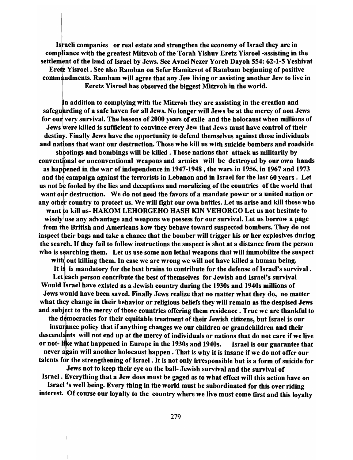Is raeli companies or real estate and strengthen the economy of Israel they are in compliance with the greatest Mitzvoh of the Torah Yishuv Eretz Yisroel -assisting in the settlement of the land of Israel by Jews. See Avnei Nezer Yoreh Dayoh 554: 62-1-5 Yeshivat Eretz Yisroel. See also Ramban on Sefer Hamitzvot of Rambam beginning of positive commandments. Rambam will agree that any Jew living or assisting another Jew to live in Eeretz Yisroel has observed the biggest Mitzvoh in the world.

n addition to complying with the Mitzvoh they are assisting in the creation and safeguarding of a safe haven for all Jews. No longer will Jews be at the mercy of non Jews for our very survival. The lessons of 2000 years of exile and the holocaust when millions of Jews were killed is sufficient to convince every Jew that Jews must have control of their destiny. Finally Jews have the opportunity to defend themselves against those individuals<br>id nations that want our destruction. Those who kill us with suicide bombers and roadside<br>shootings and bombings will be killed. Tho and nations that want our destruction. Those who kill us with suicide bombers and roadside shoot<br>ntion<br>:bd ca conventional or unconventional weapons and armies will be destroyed by our own hands as happened in the war of independence in 1947-1948, the wars in 1956, in 1967 and 1973 and the campaign against the terrorists in Lebanon and in Israel for the last 60 years. Let us not be fooled by the lies and deceptions and moralizing of the countries of the world that want our destruction. We do not need the favors of a mandate power or a united nation or any other country to protect us. We will fight our own battles. Let us arise and kill those who want to kill us- HAKOM LEHORGEHO HASH KIN VEHORGO Let us not hesitate to wisely luse any advantage and weapons we possess for our survival. Let us borrow a page from the British and Americans how they behave toward suspected bombers. They do not inspect their bags and take a chance that the bomber will trigger his or her explosives during the search. If they fail to follow instructions the suspect is shot at a distance from the person who is searching them. Let us use some non lethal weapons that will immobilize the suspect with out killing them. In case we are wrong we will not have killed a human being. It is is mandatory for the best brains to contribute for the defense of Israel's survival. Let each person contribute the best of themselves for Jewish and Israel's survival Would Israel have existed as a Jewish country during the 1930s and 1940s millions of Jews would have been saved. Finally Jews realize that no matter what they do, no matter what they change in their behavior or religious beliefs they will remain as the despised Jews and subject to the mercy of those countries offering them residence. True we are thankful to the democracies for their equitable treatment of their Jewish citizens, but Israel is our insurance policy that if anything changes we our children or grandchildren and their descendants will not end up at the mercy of individuals or nations that do not care if we live

or not-Iike what happened in Europe in the 1930s and 1940s. Israel is our guarantee that never again will another holocaust happen. That is why it is insane if we do not offer our talents for the strengthening of Israel. It is not only irresponsible but is a form of suicide for

,Jews not to keep their eye on the ball- Jewish survival and the survival of Israel. Everything that a Jew does must be gaged as to what effect will this action have on

Israel's well being. Every thing in the world must be subordinated for this over riding interest. Of course our loyalty to the country where we live must come first and this loyalty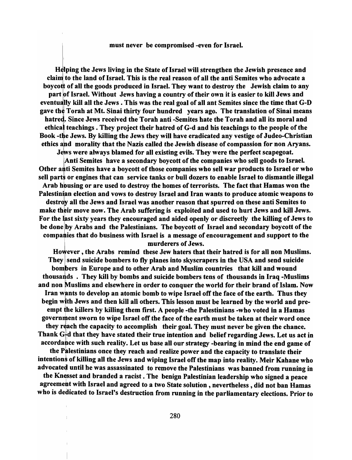#### must never be compromised -even for Israel.

Helping the Jews living in the State of Israel will strengthen the Jewish presence and claim to the land of Israel. This is the real reason of all the anti Semites who advocate a boycott of all the goods produced in Israel. They want to destroy the Jewish claim to any part of Israel. Without Jews having a country of their own it is easier to kill Jews and eventually kill all the Jews. This was the real goal of all ant Semites since the time that G-D gave the Torah at Mt. Sinai thirty four hundred years ago. The translation of Sinai means hatred. Since Jews received the Torah anti -Semites hate the Torah and all its moral and ethical teachings. They project their hatred of G-d and his teachings to the people of the Book -the Jews. By killing the Jews they will have eradicated any vestige of Judeo-Christian ethics and morality that the Nazis called the Jewish disease of compassion for non Aryans. Jews were always blamed for all existing evils. They were the perfect scapegoat.

!Anti Semites have a secondary boycott of the companies who sell goods to Israel. Other anti Semites have a boycott of those companies who sell war products to Israel or who sell parts or engines that can service tanks or bull dozers to enable Israel to dismantle illegal Arab housing or are used to destroy the homes of terrorists. The fact that Hamas won the Palestinian election and vows to destroy Israel and Iran wants to produce atomic weapons to destroy all the Jews and Israel was another reason that spurred on these anti Semites to make their move now. The Arab suffering is exploited and used to hurt Jews and kill Jews. For the last sixty years they encouraged and aided openly or discreetly the killing of Jews to be done by Arabs and the Palestinians. The boycott of Israel and secondary boycott of the compa ies that do business with Israel is a message of encouragement and support to the murderers of Jews.

However, the Arabs remind these Jew haters that their hatred is for all non Muslims. They isend suicide bombers to fly planes into skyscrapers in the USA and send suicide bombers in Europe and to other Arab and Muslim countries that kill and wound thousaqds . They kill by bombs and suicide bombers tens of thousands in Iraq -Muslims and non Muslims and elsewhere in order to conquer the world for their brand of Islam. Now Iran wants to develop an atomic bomb to wipe Israel off the face of the earth. Thus they begin with Jews and then kill all others. This lesson must be learned by the world and preempt the killers by killing them first. A people -the Palestinians -who voted in a Hamas government sworn to wipe Israel off the face of the earth must be taken at their word once they reach the capacity to accomplish their goal. They must never be given the chance. Thank *Gld* that they have stated their true intention and belief regarding Jews. Let us act in accordance with such reality. Let us base all our strategy -bearing in mind the end game of

the Palestinians once they reach and realize power and the capacity to translate their intentions of killing all the Jews and wiping Israel off the map into reality. Meir Kahane who advocated until he was assassinated to remove the Palestinians was banned from running in

the Knesset and branded a racist. The benign Palestinian leadership who signed a peace agreement with Israel and agreed to a two State solution, nevertheless, did not ban Hamas who is dedicated to Israel's destruction from running in the parliamentary elections. Prior to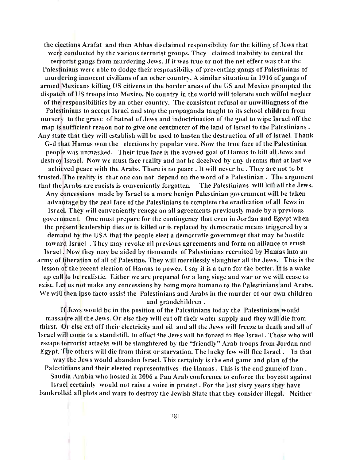the elections Arafat and then Abbas disclaimed responsibility for the killing of Jews that were conducted by the various terrorist groups. They claimed inability to control the terrorist gangs from murdering Jews. If it was true or not the net effect was that the Palestinians were able to dodge their responsibility of preventing gangs of Palestinians of murdering innocent civilians of an other country. A similar situation in 1916 of gangs of armed Mexicans killing US citizens in the border areas of the US and Mexico prompted the dispatch of US troops into Mexico. No country in the world will tolerate such wilful neglect of the responsibilities by an other country. The consistent refusal or unwillingness of the Palestinians to accept Israel and stop the propaganda taught to its school children from nursery to the grave of hatred of Jews and indoctrination of the goal to wipe Israel off the map is sufficient reason not to give one centimeter of the land of Israel to the Palestinians. Any state that they will establish will be used to hasten the destruction of all of Israel. Thank G-d that Hamas won the elections by popular vote. Now the true face of the Palestinian people was unmasked. Their true face is the avowed goal of Ramas to kill all Jews and destroy Israel. Now we must face reality and not be deceived by any dreams that at last we achieved peace with the Arabs. There is no peace . It will never be . They are not to be trusted. The reality is that one can not depend on the word of a Palestinian. The argument that the Arabs are racists is conveniently forgotten. The Palestinians will kill all the Jews. Any concessions made by Israel to a more benign Palestinian government will be taken advantage by the real face of the Palestinians to complete the eradication of all Jews in Israel. They will conveniently renege on all agreements previously made by a previous government. One must prepare for the contingency that even in Jordan and Egypt when the present leadership dies or is killed or is replaced by democratic means triggered by a demand by the USA that the people elect a democratic government that may be hostile toward Israel . They may revoke all previous agreements and form an alliance to crush Israel. Now they may be aided by thousands of Palestinians recruited by Hamas into an army of liberation of all of Palestine. They will mercilessly slaughter all the Jews. This is the lesson of the recent election of Hamas to power. I say it is a turn for the better. It is a wake up call to be realistic. Either we are prepared for a long siege and war or we will cease to exist. Let us not make any concessions by being more humane to the Palestinians and Arabs. We will then ipso facto assist the Palestinians and Arabs in the murder of our own children and grandchildren.

If Jews would be in the position of the Palestinians today the Palestinians would massacre all the Jews. Or else they will cut off their water supply and they will die from thirst. Or else cut off their electricity and oil and all the Jews will freeze to death and all of Israel will come to a standstill. In effect the Jews will be forced to flee Israel. Those who will escape terrorist attacks will be slaughtered by the "friendly" Arab troops from Jordan and Egypt. The others will die from thirst or starvation. The lucky few will flee Israel . In that way the Jews would abandon Israel. This certainly is the end game and plan of the Palestinians and their elected representatives -the Hamas. This is the end game of Iran. Saudia Arabia who hosted in 2006 a Pan Arab conference to enforce the boycott against Israel certainly would not raise a voice in protest. For the last sixty years they have bankrolled all plots and wars to destroy the Jewish State that they consider illegal. Neither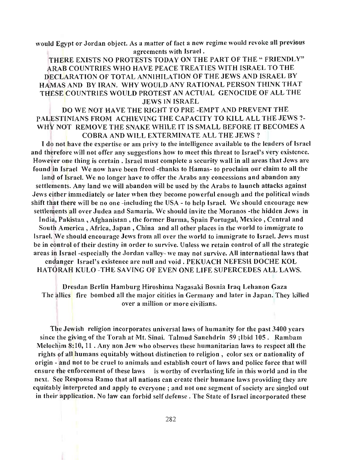would Egypt or Jordan object. As a matter of fact a new regime would revoke all previous agreements with Israel.

THERE EXISTS NO PROTESTS TODAY ON THE PART OF THE " FRIENDLY" ARAB COUNTRIES WHO HAVE PEACE TREATIES WITH ISRAEL TO THE DECLARATION OF TOTAL ANNIHILATION OF THE JEWS AND ISRAEL BY HAMAS AND BY IRAN. WHY WOULD ANY RATIONAL PERSON THINK THAT THESE COUNTRIES WOULD PROTEST AN ACTUAL GENOCIDE OF ALL THE JEWS IN ISRAEL

# DO WE NOT HAVE THE RIGHT TO PRE -EMPT AND PREVENT THE PAUESTINIANS FROM ACHIEVING THE CAPACITY TO KILL ALL THE JEWS?- WHY NOT REMOVE THE SNAKE WHILE IT IS SMALL BEFORE IT BECOMES A COBRA AND WILL EXTERMINATE ALL THE JEWS?

I do not have the expertise or am privy to the intelligence available to the leaders of Israel and therefore will not offer any suggestions how to meet this threat to Israel's very existence. However one thing is certain. Israel must complete a security wall in all areas that Jews are found in Israel We now have been freed -thanks to Hamas- to proclaim our claim to all the land of Israel. We no longer have to offer the Arabs any concessions and abandon any settlements. Any land we will abandon will be used by the Arabs to launch attacks against Jews either immediately or later when they become powerful enough and the political winds shift that there will be no one -including the USA - to help Israel. We should encourage new settlements all over Judea and Samaria. We should invite the Moranos -the hidden Jews in India, Pakistan, Afghanistan, the former Burma, Spain Portugal, Mexico, Central and South America, Africa, Japan, China and all other places in the world to immigrate to Israel. We should encourage Jews from all over the world to immigrate to Israel. Jews must be in control of their destiny in order to survive. Unless we retain control of all the strategic areas in Israel -especially the Jordan valley- we may not survive. All international laws that endanger Israel's existence are null and void. PEKUACH NEFESH DOCHE KOL

HATORAH KULO -THE SAVING OF EVEN ONE LIFE SUPERCEDES ALL LAWS.

Dresdan Berlin Hamburg Hiroshima Nagasaki Bosnia Iraq Lebanon Gaza The allies fire bombed all the major citities in Germany and later in Japan. They killed over a million or more civilians.

The Jewish religion incorporates universal laws of humanity for the past 3400 years since the giving of the Torah *at* Mt. Sinai. Talmud Sanehdrin 59 ;Ibid 105. Rambam Melochim 8:10,11 . Any non Jew who observes these humanitarian laws to respect all the rights of all humans equitably without distinction to religion, color sex or nationality of origin - and not to be cruel to animals and establish court of laws and police force that wiII ensure the enforcement of these laws is worthy of everlasting life in this world and in the next. See Responsa Ramo that all nations can create their humane laws providing they are equitably interpreted and apply to everyone; and not one segment of society are singled out in their application. No law can forbid self defense. The State of Israel incorporated these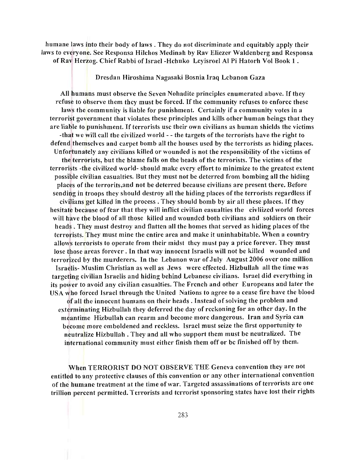humane laws into their body of laws. They do not discriminate and equitably apply their laws to everyone. Sec Responsa Hilchos Medinah by Rav Eliezer Waldenberg and Responsa of Rav Herzog. Chief Rabbi of Israel-Hchuko Leyisroel AI Pi Hatorh Vol Book 1 .

Dresdan Hiroshima Nagasaki Bosnia Iraq Lebanon Gaza

All humans must observe the Seven Nohadite principles enumerated above. If they refuse to observe them they must be forced. If the community refuses to enforce these laws the community is liable for punishment. Certainly if a community votes in a terrorist government that violates these principles and kills other human beings that they are liable to punishment. If terrorists use their own civilians as human shields the victims -that we will call the civilized world - - the targets of the terrorists have the right to defend themselves and carpet bomb all the houses used by the terrorists as hiding places. Unfortunately any civilians killed or wounded is not the responsibility of the victims of the terrorists, but the blame falls on the heads of the terrorists. The victims of the terrorists -the civilized world- should make every effort to minimize to the greatest extent possible civilian casualties. But they must not be deterred from bombing all the hiding places of the terrorits,and not be deterred because civilians arc present there. Before sending in troops they should destroy all the hiding places of the terrorists regardless if civilians get killed in the process. They should bomb by air all these places. If they hesitate because of fear that they will inflict civilian casualties the civliized world forces will have the blood of all those killed and wounded both civilians and soldiers on their heads . They must destroy and flatten all the homes that served as hiding places of the terrorists. They must mine the entire area and make it uninhabitable. When a country allows terrorists to operate from their midst they must pay a price forever. They must lose those areas forever. In that way innocent Israelis will not be killed wounded and terrorized by the murderers. In the Lebanon war of July August 2006 over one million Israelis- Muslim Christian as well as Jews were effected. Hizbullah all the time was targeting civilian Israelis and hiding behind Lebanese civilians. Israel did everything in its power to avoid any civilian casualties. The French and other Europeans and later the USA who forced Israel through the United Nations to agree to a cease fire have the blood of all the innocent humans on their heads. Instead of solving the problem and

exterminating Hizbullah they deferred the day of reckoning for an other day. In the meantime Hizbullah can rearm and become more dangerous. Iran and Syria can become more emboldened and reckless. Israel must seize the first opportunity to neutralize Hizbullah . They and all who support them must be neutralized. The international community must either finish them off or be finished off by them.

When TERRORIST DO NOT OBSERVE THE Geneva convention they are not entitled to any protective clauses of this convention or any other international convention of the humane treatment at the time of war. Targeted assassinations of terrorists are one trillion percent permitted. Terrorists and terrorist sponsoring states have lost their rights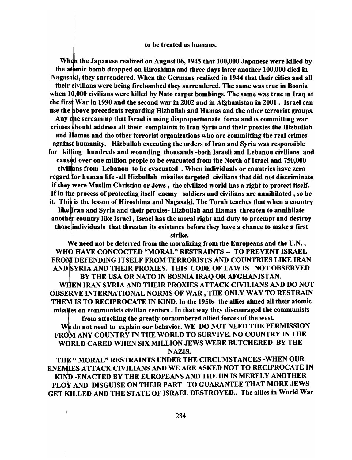#### to be treated as humans.

When the Japanese realized on August 06, 1945 that 100,000 Japanese were killed by the atomic bomb dropped on Hiroshima and three days later another 100,000 died in Nagasaki, they surrendered. When the Germans realized in 1944 that their cities and all their civilians were being firebombed they surrendered. The same was true in Bosnia when  $10,000$  civilians were killed by Nato carpet bombings. The same was true in Iraq at the first War in 1990 and the second war in 2002 and in Afghanistan in 2001. Israel can use the above precedents regarding Hizbullah and Hamas and the other terrorist groups. Any one screaming that Israel is using disproportionate force and is committing war crimes should address all their complaints to Iran Syria and their proxies the Hizbullah and Hamas and the other terrorist organizations who are committing the real crimes agains: humanity. Hizbullah executing the orders of Iran and Syria was responsible for killing hundreds and wounding thousands -both Israeli and Lebanon civilians and caused over one million people to be evacuated from the North of Israel and 750,000 civil ans from Lebanon to be evacuated . When individuals or countries have zero regard for human life -all Hizbullah missiles targeted civilians that did not discriminate if they were Muslim Christian or Jews, the civilized world has a right to protect itself. If in the process of protecting itself enemy soldiers and civilians are annihilated, so be it. This is the lesson of Hiroshima and Nagasaki. The Torah teaches that when a country like Iran and Syria and their proxies- Hizbullah and Hamas threaten to annihilate another country like Israel, Israel has the moral right and duty to preempt and destroy those individuals that threaten its existence before they have a chance to make a first

strike.

We need not be deterred from the moralizing from the Europeans and the U.N., WHO HAVE CONCOCTED "MORAL" RESTRAINTS -- TO PREVENT ISRAEL FROM DEFENDING ITSELF FROM TERRORISTS AND COUNTRIES LIKE IRAN AND SYRIA AND THEIR PROXIES. THIS CODE OF LAW IS NOT OBSERVED ! BY THE USA OR NATO IN BOSNIA IRAQ OR AFGHANISTAN. WHEN IRAN SYRIA AND THEIR PROXIES ATTACK CIVILIANS AND DO NOT OBSERVE INTERNATIONAL NORMS OF WAR, THE ONLY WAY TO RESTRAIN THEM IS TO RECIPROCATE IN KIND. In the 1950s the allies aimed all their atomic missiles on communists civilian centers. In that way they discouraged the communists from attacking the greatly outnumbered allied forces of the west.

We do not need to explain our behavior. WE DO NOT NEED THE PERMISSION FROM ANY COUNTRY IN THE WORLD TO SURVIVE. NO COUNTRY IN THE W0RLD CARED WHEN SIX MILLION JEWS WERE BUTCHERED BY THE NAZIS.

THE " MORAL" RESTRAINTS UNDER THE CIRCUMSTANCES -WHEN OUR I ENEMIES ATTACK CIVILIANS AND WE ARE ASKED NOT TO RECIPROCATE IN KIND -ENACTED BY THE EUROPEANS AND THE UN IS MERELY ANOTHER PLOY AND DISGUISE ON THEIR PART TO GUARANTEE THAT MORE JEWS GET KILLED AND THE STATE OF ISRAEL DESTROYED.. The allies in World War

 $\mathbf{I}$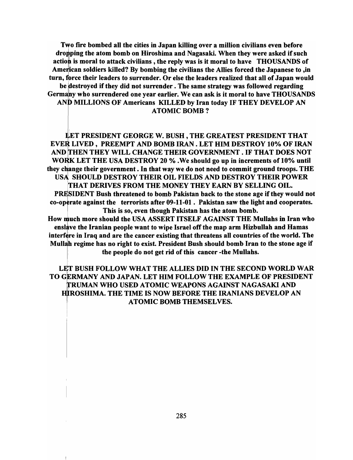Two fire bombed all the cities in Japan killing over a million civilians even before dropping the atom bomb on Hiroshima and Nagasaki. When they were asked if such action is moral to attack civilians, the reply was is it moral to have THOUSANDS of American soldiers killed? By bombing the civilians the Allies forced the Japanese to , in turn, force their leaders to surrender. Or else the leaders realized that all of Japan would be destroyed if they did not surrender. The same strategy was followed regarding Germany who surrendered one year earlier. We can ask is it moral to have THOUSANDS AND MILLIONS OF Americans KILLED by Iran today IF THEY DEVELOP AN ATOMIC BOMB?

'ET PRESIDENT GEORGE W. BUSH, THE GREATEST PRESIDENT THAT EVER LIVED, PREEMPT AND BOMB IRAN. LET HIM DESTROY 10% OF IRAN AND THEN THEY WILL CHANGE THEIR GOVERNMENT. IF THAT DOES NOT WORK LET THE USA DESTROY 20 % . We should go up in increments of 10% until they change their government. In that way we do not need to commit ground troops. THE USA SHOULD DESTROY THEIR OIL FIELDS AND DESTROY THEIR POWER :THAT DERIVES FROM THE MONEY THEY EARN BY SELLING OIL. PRESIDENT Bush threatened to bomb Pakistan back to the stone age if they would not co-operate against the terrorists after 09-11-01. Pakistan saw the light and cooperates. This is so, even though Pakistan has the atom bomb.

How much more should the USA ASSERT ITSELF AGAINST THE Mullahs in Iran who enslave the Iranian people want to wipe Israel off the map arm Hizbullah and Hamas interfere in Iraq and are the cancer existing that threatens all countries of the world. The Mullah regime has no right to exist. President Bush should bomb Iran to the stone age if the people do not get rid of this cancer -the Mullahs.

LET BUSH FOLLOW WHAT THE ALLIES DID IN THE SECOND WORLD WAR TO GERMANY AND JAPAN. LET HIM FOLLOW THE EXAMPLE OF PRESIDENT RUMAN WHO USED ATOMIC WEAPONS AGAINST NAGASAKI AND <sup>1</sup> HIROSHIMA. THE TIME IS NOW BEFORE THE IRANIANS DEVELOP AN ATOMIC BOMB THEMSELVES.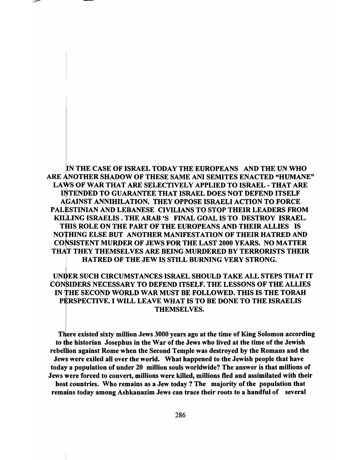N THE CASE OF ISRAEL TODAY THE EUROPEANS AND THE UN WHO ARE ANOTHER SHADOW OF THESE SAME ANI SEMITES ENACTED "HUMANE" LAWS OF WAR THAT ARE SELECTIVELY APPLIED TO ISRAEL - THAT ARE INTENDED TO GUARANTEE THAT ISRAEL DOES NOT DEFEND ITSELF AGAINST ANNIHILATION. THEY OPPOSE ISRAELI ACTION TO FORCE PALESTINIAN AND LEBANESE CIVILIANS TO STOP THEIR LEADERS FROM KILLING ISRAELIS. THE ARAB 'S FINAL GOAL IS TO DESTROY ISRAEL. THIS ROLE ON THE PART OF THE EUROPEANS AND THEIR ALLIES IS NOTHING ELSE BUT ANOTHER MANIFESTATION OF THEIR HATRED AND CONSISTENT MURDER OF JEWS FOR THE LAST 2000 YEARS. NO MATTER THAT THEY THEMSELVES ARE BEING MURDERED BY TERRORISTS THEIR HATRED OF THE JEW IS STILL BURNING VERY STRONG.

# UNDER SUCH CIRCUMSTANCES ISRAEL SHOULD TAKE ALL STEPS THAT IT CONSIDERS NECESSARY TO DEFEND ITSELF. THE LESSONS OF THE ALLIES IN HE SECOND WORLD WAR MUST BE FOLLOWED. THIS IS THE TORAH PËRSPECTIVE. I WILL LEAVE WHAT IS TO BE DONE TO THE ISRAELIS THEMSELVES.

There existed sixty million Jews 3000 years ago at the time of King Solomon according to the historian Josephus in the War of the Jews who lived at the time of the Jewish rebellion against Rome when the Second Temple was destroyed by the Romans and the Jews were exiled all over the world. What happened to the Jewish people that have today a population of under 20 million souls worldwide? The answer is that millions of Jews were forced to convert, millions were killed, millions fled and assimilated with their host countries. Who remains as a Jew today? The majority of the population that remains today among Ashkanazim Jews can trace their roots to a handful of several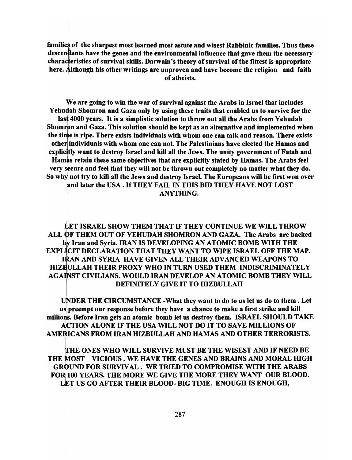families of the sharpest most learned most astute and wisest Rabbinic families. Thus these descendants have the genes and the environmental influence that gave them the necessary charac teristics of survival skills. Darwain's theory of survival of the fittest is appropriate here. Although his other writings are unproven and have become the religion and faith of atheists.

We are going to win the war of survival against the Arabs in Israel that includes Yehudah Shomron and Gaza only by using these traits that enabled us to survive for the last 4000 years. It is a simplistic solution to throw out all the Arabs from Yehudah Shomron and Gaza. This solution should be kept as an alternative and implemented when the time is ripe. There exists individuals with whom one can talk and reason. There exists other individuals with whom one can not. The Palestinians have elected the Hamas and explicitly want to destroy Israel and kill all the Jews. The unity government of Fatah and Hamas retain these same objectives that are explicitly stated by Hamas. The Arabs feel very secure and feel that they will not be thrown out completely no matter what they do. So why not try to kill all the Jews and destroy Israel. The Europeans will be first won over and later the USA. If THEY FAIL IN THIS BID THEY HAVE NOT LOST ANYTHING.

LE<br>OF<br>by l<br>IC<br>RA LET ISRAEL SHOW THEM THAT IF THEY CONTINUE WE WILL THROW ALL OF THEM OUT OF YEHUDAH SHOMRON AND GAZA. The Arabs are backed by Iran and Syria. IRAN IS DEVELOPING AN ATOMIC BOMB WITH THE EXPLICIT DECLARATION THAT THEY WANT TO WIPE ISRAEL OFF THE MAP. **LICI<br>IRA<br>BUI<br>INS** IRAN AND SYRIA HAVE GIVEN ALL THEIR ADVANCED WEAPONS TO HIZBULLAH THEIR PROXY WHO IN TURN USED THEM INDISCRIMINATELY AGAINST CIVILIANS. WOULD IRAN DEVELOP AN ATOMIC BOMB THEY WILL DEFINITELY GIVE IT TO HIZBULLAH

DER THE CIRCUMSTANCE -What they want to do to us let us do to them. Let us preempt our response before they have a chance to make a first strike and kill millions. Before Iran gets an atomic bomb let us destroy them. ISRAEL SHOULD TAKE ACTION ALONE IF THE USA WILL NOT DO IT TO SAVE MILLIONS OF AMERICANS FROM IRAN HIZBULLAH AND HAMAS AND OTHER TERRORISTS.

THE ONES WHO WILL SURVIVE MUST BE THE WISEST AND IF NEED BE THE MOST VICIOUS. WE HAVE THE GENES AND BRAINS AND MORAL HIGH GROUND FOR SURVIVAL. WE TRIED TO COMPROMISE WITH THE ARABS FOR 100 YEARS. THE MORE WE GIVE THE MORE THEY WANT OUR BLOOD. LET US GO AFTER THEIR BLOOD- BIG TIME. ENOUGH IS ENOUGH,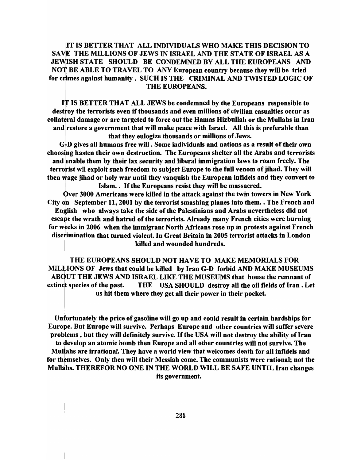<sup>T</sup>IS BETTER THAT ALL INDIVIDUALS WHO MAKE THIS DECISION TO SAVIE THE MILLIONS OF JEWS IN ISRAEL AND THE STATE OF ISRAEL AS A JEWISH STATE SHOULD BE CONDEMNED BY ALL THE EUROPEANS AND NOT BE ABLE TO TRAVEL TO ANY European country because they will be tried for crimes against humanity. SUCH IS THE CRIMINAL AND TWISTED LOGIC OF THE EUROPEANS.

IS BETTER THAT ALL JEWS be condemned by the Europeans responsible to destroy the terrorists even if thousands and even millions of civilian casualties occur as collateral damage or are targeted to force out the Hamas Hizbullah or the Mullahs in Iran and restore a government that will make peace with Israel. All this is preferable than that they eulogize thousands or millions of Jews.

G-D gives all humans free will . Some individuals and nations as a result of their own choosing hasten their own destruction. The Europeans shelter all the Arabs and terrorists and enable them by their lax security and liberal immigration laws to roam freely. The terrorist wll exploit such freedom to subject Europe to the full venom of jihad. They will then wage jihad or holy war until they vanquish the European infidels and they convert to Islam.. If the Europeans resist they will be massacred.

Qver 3000 Americans were killed in the attack against the twin towers in New York City on September 11, 2001 by the terrorist smashing planes into them.  $\cdot$  The French and English who always take the side of the Palestinians and Arabs nevertheless did not English who always take the side of the Palestinians and Arabs nevertheless did not escape the wrath and hatred of the terrorists. Already many French cities were burning discrimination that turned violent. In Great Britain in 2005 terrorist attacks in London<br>killed and wounded hundreds. for weeks in 2006 when the immigrant North Africans rose up in protests against French killed and wounded hundreds.

THE EUROPEANS SHOULD NOT HAVE TO MAKE MEMORIALS FOR MILLIONS OF Jews that could be killed by Iran G-D forbid AND MAKE MUSEUMS ABOUT THE JEWS AND ISRAEL LIKE THE MUSEUMS that house the remnant of species of the past. THE USA SHOULD destroy all the oil fields of Iran. Let us hit them where they get all their power in their pocket.

Unfortunately the price of gasoline will go up and could result in certain hardships for Europe. But Europe will survive. Perhaps Europe and other countries will suffer severe problems, but they will definitely survive. If the USA will not destroy the ability of Iran to develop an atomic bomb then Europe and all other countries will not survive. The Mullahs are irrational. They have a world view that welcomes death for all infidels and for themselves. Only then will their Messiah come. The communists were rational; not the Mullahs. THEREFOR NO ONE IN THE WORLD WILL BE SAFE UNTIL Iran changes its government.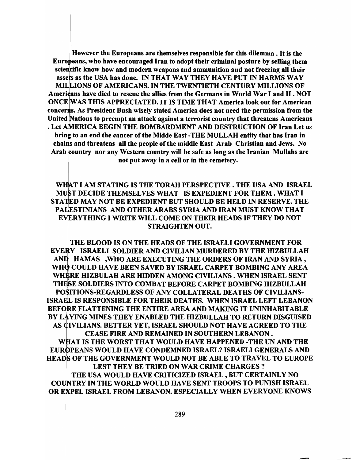• However the Europeans are themselves responsible for this dilemma. It is the Europeans, who have encouraged Iran to adopt their criminal posture by selling them scientific know how and modern weapons and ammunition and not freezing all their assets as the USA has done. IN THAT WAY THEY HAVE PUT IN HARMS WAY MIL IONS OF AMERICANS. IN THE TWENTIETH CENTURY MILLIONS OF Americans have died to rescue the allies from the Germans in World War I and II. NOT ONCE WAS THIS APPRECIATED. IT IS TIME THAT America look out for American concerns. As President Bush wisely stated America does not need the permission from the United Nations to preempt an attack against a terrorist country that threatens Americans . Let AMERICA BEGIN THE BOMBARDMENT AND DESTRUCTION OF Iran Let us bring to an end the cancer of the Midde East -THE MULLAH entity that has Iran in chains and threatens all the people of the middle East Arab Christian and Jews. No Arab country nor any Western country will be safe as long as the Iranian Mullahs are not put away in a cell or in the cemetery.

WHAT I AM STATING IS THE TORAH PERSPECTIVE . THE USA AND ISRAEL MUST DECIDE THEMSELVES WHAT IS EXPEDIENT FOR THEM. WHAT I STATED MAY NOT BE EXPEDIENT BUT SHOULD BE HELD IN RESERVE. THE PALESTINIANS AND OTHER ARABS SYRIA AND IRAN MUST KNOW THAT EVERYTHING I WRITE WILL COME ON THEIR HEADS IF THEY DO NOT STRAIGHTEN OUT.

THE BLOOD IS ON THE HEADS OF THE ISRAELI GOVERNMENT FOR Y ISRAELI SOLDIER AND CIVILIAN MURDERED BY THE HIZBULLAH : HAMAS ,WHO ARE EXECUTING THE ORDERS OF IRAN AND SYRIA, • COULD HAVE BEEN SAVED BY ISRAEL CARPET BOMBING ANY AREA WHERE HIZBULAH ARE HIDDEN AMONG CIVILIANS. WHEN ISRAEL SENT THESE SOLDIERS INTO COMBAT BEFORE CARPET BOMBING HIZBULLAH POSITIONS-REGARDLESS OF ANY COLLATERAL DEATHS OF CIVILIANS-ISRA L IS RESPONSIBLE FOR THEIR DEATHS. WHEN ISRAEL LEFT LEBANON BEFORE FLATTENING THE ENTIRE AREA AND MAKING IT UNINHABITABLE BY LAYING MINES THEY ENABLED THE HIZBULLAH TO RETURN DISGUISED AS CIVILIANS. BETTER YET, ISRAEL SHOULD NOT HAVE AGREED TO THE CEASE FIRE AND REMAINED IN SOUTHERN LEBANON. WHAT IS THE WORST THAT WOULD HAVE HAPPENED -THE UN AND THE EUROPEANS WOULD HAVE CONDEMNED ISRAEL? ISRAELI GENERALS AND

HEADS OF THE GOVERNMENT WOULD NOT BE ABLE TO TRAVEL TO EUROPE LEST THEY BE TRIED ON WAR CRIME CHARGES? THE USA WOULD HAVE CRITICIZED ISRAEL, BUT CERTAINLY NO COUNTRY IN THE WORLD WOULD HAVE SENT TROOPS TO PUNISH ISRAEL OR EXPEL ISRAEL FROM LEBANON. ESPECIALLY WHEN EVERYONE KNOWS

- -----'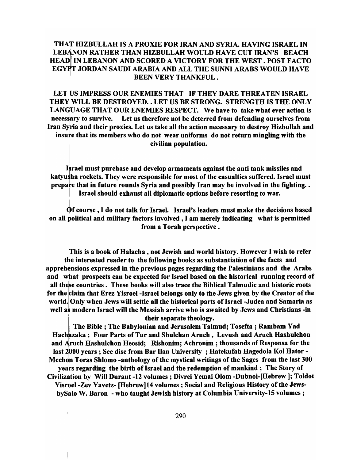# THAT HIZBULLAH IS A PROXIE FOR IRAN AND SYRIA. HAVING ISRAEL IN LEBANON RATHER THAN HIZBULLAH WOULD HAVE CUT IRAN'S BEACH HEAD IN LEBANON AND SCORED A VICTORY FOR THE WEST. POST FACTO EGYPT JORDAN SAUDI ARABIA AND ALL THE SUNNI ARABS WOULD HAVE BEEN VERY THANKFUL.

LET US IMPRESS OUR ENEMIES THAT IF THEY DARE THREATEN ISRAEL  $\,$ THEyjWILL BE DESTROYED •. LET US BE STRONG. STRENGTH IS THE ONLY LANGUAGE THAT OUR ENEMIES RESPECT. We have to take what ever action is necessary to survive. Let us therefore not be deterred from defending ourselves from Iran Syria and their proxies. Let us take all the action necessary to destroy Hizbullah and insure that its members who do not wear uniforms do not return mingling with the civilian population.

Israel must purchase and develop armaments against the anti tank missiles and katyusha rockets. They were responsible for most of the casualties suffered. Israel must prepare that in future rounds Syria and possibly Iran may be involved in the fighting.  $\cdot$ Israel should exhaust all diplomatic options before resorting to war.

~f course, I do not talk for Israel. Israel's leaders must make the decisions based on all political and military factors involved, I am merely indicating what is permitted

from a Torah perspective.

This is a book of Halacha, not Jewish and world history. However I wish to refer tbe interested reader to the following books as substantiation of the facts and apprehensions expressed in the previous pages regarding the Palestinians and the Arabs and what prospects can be expected for Israel based on the historical running record of all these countries. These books will also trace the Biblical Talmudic and historic roots for the claim that Erez Yisroel -Israel belongs only to the Jews given by the Creator of the world. Only when Jews will settle all the historical parts of Israel -Judea and Samaria as well as modern Israel will the Messiah arrive who is awaited by Jews and Christians -in their separate theology.

ibility of the Separate theology.<br>
Hachazaka; Four Parts of Tur and Shulchan Aruch, Levush and Aruch Hashulchon<br>
Hachazaka; Four Parts of Tur and Shulchan Aruch, Levush and Aruch Hashulchon The Bible; The Babylonian and Jerusalem Talmud; Tosefta; Rambam Yad and Aruch Hashulchon Heosid; Rishonim; Achronim; thousands of Responsa for the last 2000 years; See disc from Bar Ilan University; Hatekufah Hagedola Kol Hator-Mechon Toras Shlomo -anthology of the mystical writings of the Sages from the last 300 years regarding the birth of Israel and the redemption of mankind; The Story of Civilization by Will Durant -12 volumes; Divrei Yemai Olom -Dubnoi-[Hebrew); Toldot Yisroel-Zev Yavetz- [Hebrew) 14 volumes; Social and Religious History of the JewsbySalo W. Baron - who taught Jewish history at Columbia University-IS volumes;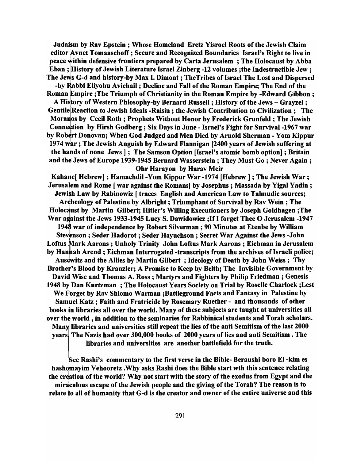Judaism by Rav Epstein; Whose Homeland Eretz Yisroel Roots of the Jewish Claim editor Avnet Tomaaschoff; Secure and Recognized Boundaries Israel's Right to live in peace within<br>Eban ; Hist<br>The Jews Gpeace within defensive frontiers prepared by Carta Jerusalem; The Holocaust by Abba Eban ; History of Jewish Literature Israel Zinberg -12 volumes ;the Indestructible Jew; The Jews G-d and history-by Max I. Dimont ; TheTribes of Israel The Lost and Dispersed -by Rabbi Eliyohu Avichail; Decline and Fall of the Roman Empire; The End of the Roman Empire ;The Triumph of Christianity in the Roman Empire by -Edward Gibbon; A History of Western Phlosophy-by Bernard Russell : History of the Jews - Grayzel : Gentile Reaction to Jewish Ideals -Raisin; the Jewish Contribution to Civilization; The Moranos by Cecil Roth; Prophets Without Honor by Frederick Grunfeld; The Jewish Connection by Hirsh Godberg; Six Days in June - Israel's Fight for Survival -1967 war

by Robert Donovan; When God Judged and Men Died by Arnold Sherman - Yom Kippur 1974 war; The Jewish Anguish by Edward Flannigan [2400 years of Jewish suffering at the hahds of none Jews] ; The Samson Option [Israel's atomic bomb option] ; Britain and the Jews of Europe 1939-1945 Bernard Wasserstein; They Must Go; Never Again; Ohr Harayon by Harav Meir

Kahane[ Hebrew] ; Hamachdil -Yom Kippur War -1974 [Hebrew ] ; The Jewish War; Jerusalem and Rome [ war against the Romans] by Josephus ; Massada by Yigal Yadin ; Jewish Law by Rabinowiz [traces English and American Law to Talmudic sources; Archeology of Palestine by Albright; Triumphant of Survival by Rav Wein; The Holocaust by Martin Gilbert; Hitler's Willing Executioners by Joseph Goldhagen ;The War against the Jews 1933-1945 Lucy S. Dawidowicz ;If I forget Thee O Jerusalem -1947 1948 war of independence by Robert Silverman; 90 Minutes at Etenbe by William Stevenson ; Seder Hadorot; Seder Hayuchson; Secret War Against the Jews -John Loftus Mark Aarons; Unholy Trinity John Loftus Mark Aarons; Eichman in Jerusalem by Hanhah Arend ; Eichman Interrogated -transcripts from the archives of Israeli police; Ausewitz and the Allies by Martin Gilbert; Ideology of Death by John Weiss; Thy Brother's Blood by Kranzler; A Promise to Keep by Belth; The Invisible Government by David Wise and Thomas A. Ross; Martyrs and Fighters by Philip Friedman; Genesis 1948 by Dan Kurtzman; The Holocaust Years Society on Trial by Roselle Charlock; Lest We Forget by Rav Shlomo Warman ;Battleground Facts and Fantasy in Palestine by Samuel Katz; Faith and Fratricide by Rosemary Ruether - and thousands of other books in libraries all over the world. Many of these subjects are taught at universities all over the world, in addition to the seminaries for Rabbinical students and Torah scholars. Many libraries and universities still repeat the lies of the anti Semitism of the last 2000 years. The Nazis had over 300,000 books of 2000 years of lies and anti Semitism • The libraries and universities are another battlefield for the truth.

See Rashi's commentary to the first verse in the Bible- Beraushi boro EI-kim es hashomayim Vehooretz . Why asks Rashi does the Bible start wth this sentence relating the creation of the world? Why not start with the story of the exodus from Egypt and the miraculous escape of the Jewish people and the giving of the Torah? The reason is to relate to all of humanity that G-d is the creator and owner of the entire universe and this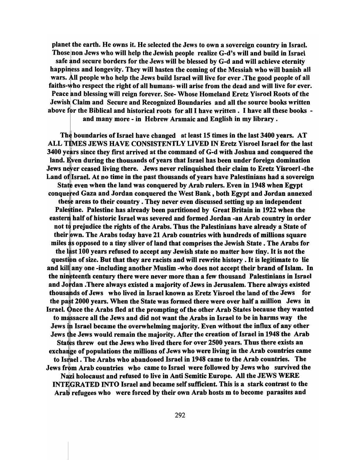planet the earth. He owns it. He selected the Jews to own a sovereign country in Israel. Those non Jews who will help the Jewish people realize G-d's will and build in Israel safe and secure borders for the Jews will be blessed by G-d and will achieve eternity happiness and longevity. They will hasten the coming of the Messiah who will banish all wars. All people who help the Jews build Israel will live for ever. The good people of all faiths-who respect the right of all humans- will arise from the dead and will live for ever. Peace and blessing will reign forever. See- Whose Homeland Eretz Yisroel Roots of the Jewish Claim and Secure and Recognized Boundaries and all the source books written I above for the Biblical and historical roots for all I have written. I have all these books and many more - in Hebrew Aramaic and English in my library .

The boundaries of Israel have changed at least 15 times in the last 3400 years. AT ALL TIMES JEWS HAVE CONSISTENTLY LIVED IN Eretz Yisroel Israel for the last 3400 years since they first arrived at the command of G-d with Joshua and conquered the land. Even during the thousands of years that Israel has been under foreign domination Jews never ceased living there. Jews never relinquished their claim to Eretz Yisroerl-the Land of Israel. At no time in the past thousands of years have Palestinians had a sovereign State even when the land was conquered by Arab rulers. Even in 1948 when Egypt conquered Gaza and Jordan conquered the West Bank, both Egypt and Jordan annexed these areas to their country. They never even discussed setting up an independent Palestine. Palestine has already been partitioned by Great Britain in 1922 when the eastern half of historic Israel was severed and formed Jordan -an Arab country in order not to prejudice the rights of the Arabs. Thus the Palestinians have already a State of their own. The Arabs today have 21 Arab countries with hundreds of millions square miles as opposed to a tiny sliver of land that comprises the Jewish State. The Arabs for the last 100 years refused to accept any Jewish state no matter how tiny. It is not the question of size. But that they are racists and will rewrite history. It is legitimate to lie and kill any one -including another Muslim -who does not accept their brand of Islam. In the nineteenth century there were never more than a few thousand Palestinians in Israel and Jordan . There always existed a majority of Jews in Jerusalem. There always existed thous ds of Jews who lived in Israel known as Eretz Yisroel the land of the Jews for the past 2000 years. When the State was formed there were over half a million Jews in Israel. Once the Arabs fled at the prompting of the other Arab States because they wanted to massacre all the Jews and did not want the Arabs in Israel to be in harms way the Jews in Israel became the overwhelming majority. Even without the influx of any other Jews the Jews would remain the majority. After the creation of Israel in 1948 the Arab States threw out the Jews who lived there for over 2500 years. Thus there exists an exchange of populations the millions of Jews who were living in the Arab countries came to Israel. The Arabs who abandoned Israel in 1948 came to the Arab countries. The Jews from Arab countries who came to Israel were followed by Jews who survived the Nazi holocaust and refused to live in Anti Semitic Europe. All the JEWS WERE INTEGRATED INTO Israel and became self sufficient. This is a stark contrast to the Arab refugees who were forced by their own Arab hosts m to become parasites and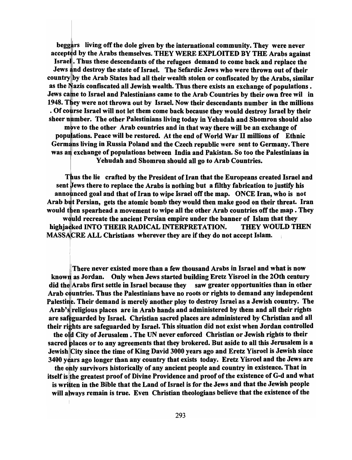beggars living off the dole given by the international community. They were never accepted by the Arabs themselves. THEY WERE EXPLOITED BY THE Arabs against Israe . Thus these descendants of the refugees demand to come back and replace the Jews and destroy the state of Israel. The Sefardic Jews who were thrown out of their country lby the Arab States had all their wealth stolen or confiscated by the Arabs, similar as the Nazis confiscated all Jewish wealth. Thus there exists an exchange of populations. Jews came to Israel and Palestinians came to the Arab Countries by their own free wil in 1948. They were not thrown out by Israel. Now their descendants number in the millions . Of course Israel will not let them come back because they would destroy Israel by their sheer number. The other Palestinians living today in Yehudah and Shomron should also move to the other Arab countries and in that way there will be an exchange of populations. Peace will be restored. At the end of World War II millions of Ethnic Germans living in Russia Poland and the Czech republic were sent to Germany. There was an exchange of populations between India and Pakistan. So too the Palestinians in Yehudah and Shomron should all go to Arab Countries.

Thus the lie crafted by the President of Iran that the Europeans created Israel and sent Jews there to replace the Arabs is nothing but a filthy fabrication to justify his announced goal and that of Iran to wipe Israel off the map. ONCE Iran, who is not Arab but Persian, gets the atomic bomb they would then make good on their threat. Iran would then spearhead a movement to wipe all the other Arab countries off the map . They would recreate the ancient Persian empire under the banner of Islam that they highjacked INTO THEIR RADICAL INTERPRETATION. THEY WOULD THEN MASSACRE ALL Christians wherever they are if they do not accept Islam.

There never existed more than a few thousand Arabs in Israel and what is now known as Jordan. Only when Jews started building Eretz Yisroel in the 20th century did the Arabs first settle in Israel because they saw greater opportunities than in other Arab countries. Thus the Palestinians have no roots or rights to demand any independent Palestine. Their demand is merely another ploy to destroy Israel as a Jewish country. The Arab's religious places are in Arab hands and administered by them and all their rights are safeguarded by Israel. Christian sacred places are administered by Christian and all their rights are safeguarded by Israel. This situation did not exist when Jordan controlled

the old City of Jerusalem. The UN never enforced Christian or Jewish rights to their sacred places or to any agreements that they brokered. But aside to all this Jerusalem is a Jewish City since the time of King David 3000 years ago and Eretz Yisroel is Jewish since 3400 years ago longer than any country that exists today. Eretz Yisroel and the Jews are

the only survivors historically of any ancient people and country in existence. That in itself is the greatest proof of Divine Providence and proof of the existence of G-d and what is written in the Bible that the Land of Israel is for the Jews and that the Jewish people will aJways remain is true. Even Christian theologians believe that the existence of the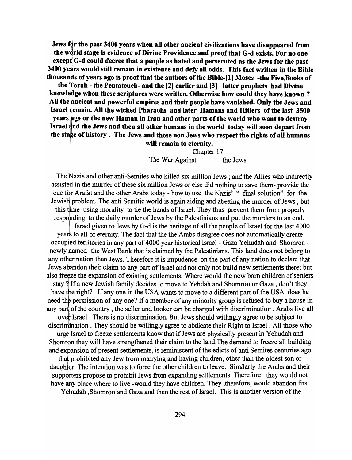Jews for the past 3400 years when all other ancient civilizations have disappeared from the world stage is evidence of Divine Providence and proof that G-d exists. For no one except G-d could decree that a people as hated and persecuted as the Jews for the past 3400 years would still remain in existence and defy all odds. This fact written in the Bible thousands of years ago is proof that the authors of the Bible-[1] Moses -the Five Books of

the Torah - the Pentateuch- and the  $[2]$  earlier and  $[3]$  latter prophets had Divine knowledge when these scriptures were written. Otherwise how could they have known? All the ancient and powerful empires and their people have vanished. Only the Jews and Israel lemain. All the wicked Pharaohs and later Hamans and Hitlers of the last 3500 years ago or the new Haman in Iran and other parts of the world who want to destroy Israel nd the Jews and then all other humans in the world today will soon depart from the stage of history. The Jews and those non Jews who respect the rights of all humans

will remain to eternity.

Chapter 17 The War Against the Jews

The Nazis and other anti-Semites who killed six million Jews; and the Allies who indirectly assisted in the murder of these six million Jews or else did nothing to save them- provide the cue for Arafat and the other Arabs today - how to use the Nazis' " final solution" for the Jewisl{problem. The anti Semitic world is again aiding and abetting the murder of Jews, but this time using morality to tie the hands of Israel. They thus prevent them from properly responding to the daily murder of Jews by the Palestinians and put the murders to an end.

Israel given to Jews by G-d is the heritage of all the people of Israel for the last 4000 years to all of eternity. The fact that the the Arabs disagree does not automatically create occupied territories in any part of 4000 year historical Israel - Gaza Yehudah and Shomron newly named -the West Bank that is claimed by the Palestinians. This land does not belong to any other nation than Jews. Therefore it is impudence on the part of any nation to declare that Jews at a following the integration to any part of Israel and not only not build new settlements there; but also freeze the expansion of existing settlements. Where would the new born children of settlers stay ? If a new Jewish family decides to move to Yehdah and Shomron or Gaza, don't they have the right? If any one in the USA wants to move to a different part of the USA does he need the permission of any one? If a member of any minority group is refused to buy a house in any part of the country, the seller and broker can be charged with discrimination. Arabs live all over Israel. There is no discrimination. But Jews should willingly agree to be subject to discrimination. They should be willingly agree to abdicate their Right to Israel. All those who urge Israel to freeze settlements know that if Jews are physically present in Yehudah and Shomron they will have strengthened their claim to the land. The demand to freeze all building and expansion of present settlements, is reminiscent of the edicts of anti Semites centuries ago that prohibited any Jew from marrying and having children, other than the oldest son or daughter. The intention was to force the other children to leave. Similarly the Arabs and their supporters propose to prohibit Jews from expanding settlements. Therefore they would not have any place where to live -would they have children. They ,therefore, would abandon first

Yehudah, Shomron and Gaza and then the rest of Israel. This is another version of the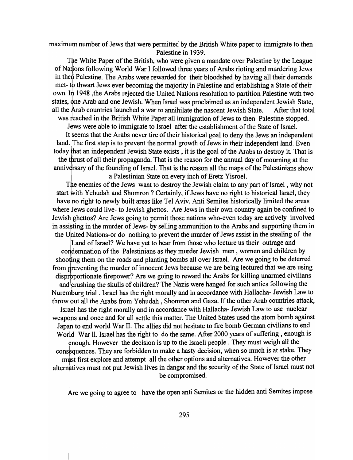maximum number of Jews that were permitted by the British White paper to immigrate to then Palestine in 1939.

The White Paper of the British, who were given a mandate over Palestine by the League of Nations following World War I followed three years of Arabs rioting and murdering Jews in then Palestine. The Arabs were rewarded for their bloodshed by having all their demands met- to thwart Jews ever becoming the majority in Palestine and establishing a State of their own. In 1948 ,the Arabs rejected the United Nations resolution to partition Palestine with two states, one Arab and one Jewish. When Israel was proclaimed as an independent Jewish State, all the Arab countries launched a war to annihilate the nascent Jewish State. After that total was reached in the British White Paper all immigration of Jews to then Palestine stopped.

Jews were able to immigrate to Israel after the establishment of the State of Israel.

It seems that the Arabs never tire of their historical goal to deny the Jews an independent land. The first step is to prevent the normal growth of Jews in their independent land. Even today that an independent Jewish State exists, it is the goal of the Arabs to destroy it. That is the thrust of all their propaganda. That is the reason for the annual day of mourning at the anniversary of the founding of Israel. That is the reason all the maps of the Palestinians show a Palestinian State on every inch of Eretz Yisroel.

The enemies of the Jews want to destroy the Jewish claim to any part of Israel , why not start with Yehudah and Shomron ? Certainly, if Jews have no right to historical Israel, they havelno right to newly built areas like Tel Aviv. Anti Semites historically limited the areas where Jews could live- to Jewish ghettos. Are Jews in their own country again be confined to Jewish ghettos? Are Jews going to permit those nations who-even today are actively involved in assisting in the murder of Jews- by selling ammunition to the Arabs and supporting them in the United Nations-or do nothing to prevent the murder of Jews assist in the stealing of the

Land of Israel? We have yet to hear from those who lecture us their outrage and condemnation of the Palestinians as they murder Jewish men, women and children by shooting them on the roads and planting bombs all over Israel. Are we going to be deterred from preventing the murder of innocent Jews because we are being lectured that we are using disproportionate firepower? Are we going to reward the Arabs for killing unarmed civilians and crushing the skulls of children? The Nazis were hanged for such antics following the Nuremburg trial. Israel has the right morally and in accordance with Hallacha- Jewish Law to throw but all the Arabs from Yehudah , Shomron and Gaza. If the other Arab countries attack, Israel has the right morally and in accordance with Hallacha- Jewish Law to use nuclear weapdns and once and for all settle this matter. The United States used the atom bomb against Japah to end world War II. The allies did not hesitate to fire bomb German civilians to end World War II. Israel has the right to do the same. After 2000 years of suffering, enough is enough. However the decision is up to the Israeli people . They must weigh all the consequences. They are forbidden to make a hasty decision, when so much is at stake. They must first explore and attempt all the other options and alternatives. However the other alternatives must not put Jewish lives in danger and the security of the State of Israel must not be compromised.

Are we going to agree to have the open anti Semites or the hidden anti Semites impose

 $\mathbf{I}$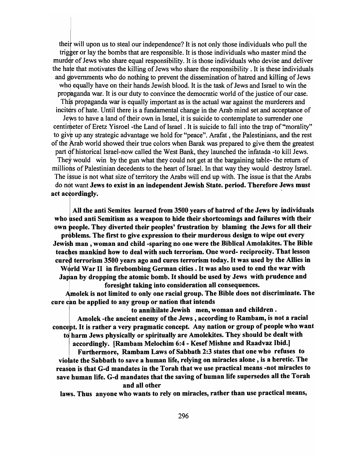their will upon us to steal our independence? It is not only those individuals who pull the trig er or lay the bombs that are responsible. It is those individuals who master mind the murder of Jews who share equal responsibility. It is those individuals who devise and deliver the hate that motivates the killing of Jews who share the responsibility. It is these individuals and governments who do nothing to prevent the dissemination of hatred and killing of Jews who equally have on their hands Jewish blood. It is the task of Jews and Israel to win the propaganda war. It is our duty to convince the democratic world of the justice of our case. This propaganda war is equally important as is the actual war against the murderers and inciters of hate. Until there is a fundamental change in the Arab mind set and acceptance of Jews to have a land of their own in Israel, it is suicide to contemplate to surrender one centimeter of Eretz Yisroel -the Land of Israel. It is suicide to fall into the trap of "morality" to give up any strategic advantage we hold for "peace". Arafat, the Palestinians, and the rest of the Arab world showed their true colors when Barak was prepared to give them the greatest part of historical Israel-now called the West Bank, they launched the infatada -to kill Jews. They would win by the gun what they could not get at the bargaining table- the return of millions of Palestinian decedents to the heart of Israel. In that way they would destroy Israel. The issue is not what size of territory the Arabs will end up with. The issue is that the Arabs

do not want Jews to exist in an independent Jewish State. period. Therefore Jews must act accordingly.

All the anti Semites learned from 3500 years of hatred of the Jews by individuals who used anti Semitism as a weapon to hide their shortcomings and failures with their own people. They diverted their peoples' frustration by blaming the Jews for all their problems. The first to give expression to their murderous design to wipe out every Jewish man, woman and child -sparing no one were the Biblical Amolakites. The Bible teaches mankind how to deal with such terrorism. One word- reciprocity. That lesson cured terrorism 3500 years ago and cures terrorism today. It was used by the Allies in W6rld War II in firebombing German cities. It was also used to end the war with Japan by dropping the atomic bomb. It should be used by Jews with prudence and foresight taking into consideration all consequences.

Amolek is not limited to only one racial group. The Bible does not discriminate. The cure can be applied to any group or nation that intends

to annihilate Jewish men, woman and children.<br>Amolek -the ancient enemy of the Jews, according to Rambam, is no<br>ept. It is rather a very pragmatic concept. Any nation or group of people<br>harm Jaws physically are spiritually Amolek -the ancient enemy of the Jews, according to Rambam, is not a racial concept. It is rather a very pragmatic concept. Any nation or group of people who want to harm Jews physically or spiritually are Amolekites. They should be dealt with

I harm Jews physically or spiritually are Amolekites. They should be dealt v<br>accordingly. [Rambam Melochim 6:4 - Kesef Mishne and Raadvaz Ibid.]<br>Furthermore, Rambam Laws of Sabbath 2:3 states that one who refuse<br>late the S Furthermore, Rambam Laws of Sabbath 2:3 states that one who refuses to violate the Sabbath to save a human life, relying on miracles alone , is a heretic. The reasbn is that G-d mandates in the Torah that we use practical means -not miracles to save human life. G-d mandates that the saving of human life supersedes all the Torah and all other

laws. Thus anyone who wants to rely on miracles, rather than use practical means,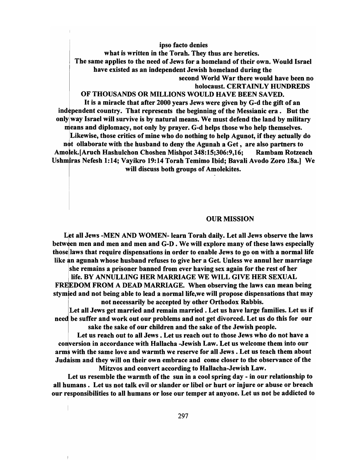#### ipso facto denies

what is written in the Torah. They thus are heretics. The same applies to the need of Jews for a homeland of their own. Would Israel have existed as an independent Jewish homeland during the second World War there would have been no holocaust. CERTAINLY HUNDREDS

## OF THOUSANDS OR MILLIONS WOULD HAVE BEEN SAVED.

It is a miracle that after 2000 years Jews were given by G-d the gift of an independent country. That represents the beginning of the Messianic era. But the only way Israel will survive is by natural means. We must defend the land by military means and diplomacy, not only by prayer. G-d helps those who help themselves. Likewise, those critics of mine who do nothing to help Agunot, if they actually do not ollaborate with the husband to deny the Agunah a Get, are also partners to Amolek.[Aruch Hashulchon Choshen Mishpot 348:15:306:9.16: Rambam Rotzeach Ushmiras Nefesh 1:14; Vayikro 19:14 Torah Temimo Ibid; Bavali Avodo Zoro 18a.] We will discuss both groups of Amolekites.

## OUR MISSION

Let all Jews -MEN AND WOMEN- learn Torah daily. Let all Jews observe the laws between men and men and men and G-D. We will explore many of these laws especially thosellaws that require dispensations in order to enable Jews to go on with a normal life like an agunah whose husband refuses to give her a Get. Unless we annul her marriage

she remains a prisoner banned from ever having sex again for the rest of her life. BY ANNULLING HER MARRIAGE WE WILL GIVE HER SEXUAL

FREEDOM FROM A DEAD MARRIAGE. When observing the laws can mean being stymied and not being able to lead a normal life, we will propose dispensations that may not necessarily be accepted by other Orthodox Rabbis.

Let all Jews get married and remain married. Let us have large families. Let us if need be suffer and work out our problems and not get divorced. Let us do this for our sake the sake of our children and the sake of the Jewish people.

Let us reach out to all Jews. Let us reach out to those Jews who do not have a conversion in accordance with Hallacha -Jewish Law. Let us welcome them into our arms with the same love and warmth we reserve for all Jews. Let us teach them about Judaism and they will on their own embrace and come closer to the observance of the Mitzvos and convert according to Hallacha-Jewish Law.

Let us resemble the warmth of the sun in a cool spring day - in our relationship to all humans. Let us not talk evil or slander or libel or hurt or injure or abuse or breach our responsibilities to all humans or lose our temper at anyone. Let us not be addicted to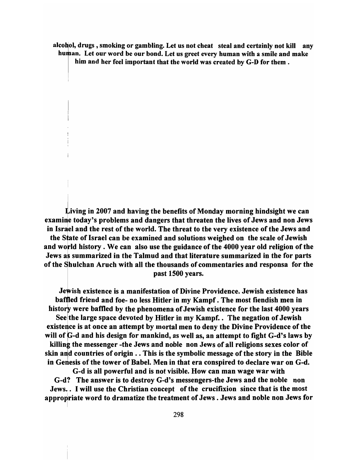alcohol, drugs, smoking or gambling. Let us not cheat steal and certainly not kill any human. Let our word be our bond. Let us greet every human with a smile and make him and her feel important that the world was created by G-D for them.

 $\dot{\bf L}$ iving in 2007 and having the benefits of Monday morning hindsight we can examine today's problems and dangers that threaten the lives of Jews and non Jews in Israel and the rest of the world. The threat to the very existence of the Jews and the state of Israel can be examined and solutions weighed on the scale of Jewish and world history. We can also use the guidance of the 4000 year old religion of the Jews as summarized in the Talmud and that literature summarized in the for parts of the Shulchan Aruch with all the thousands of commentaries and responsa for the past 1500 years.

Jewish existence is a manifestation of Divine Providence. Jewish existence has baffled friend and foe- no less Hitler in my Kampf. The most fiendish men in history were baffled by the phenomena of Jewish existence for the last 4000 years See the large space devoted by Hitler in my Kampf. . The negation of Jewish existence is at once an attempt by mortal men to deny the Divine Providence of the will of G-d and his design for mankind, as well as, an attempt to fight G-d's laws by killing the messenger -the Jews and noble non Jews of all religions sexes color of skin and countries of origin  $\ldots$  This is the symbolic message of the story in the Bible in Genesis of the tower of Babel. Men in that era conspired to declare war on G-d.

G-d is all powerful and is not visible. How can man wage war with G-d? The answer is to destroy G-d's messengers-the Jews and the noble non Jews. . I will use the Christian concept of the crucifixion since that is the most appropriate word to dramatize the treatment of Jews . Jews and noble non Jews for